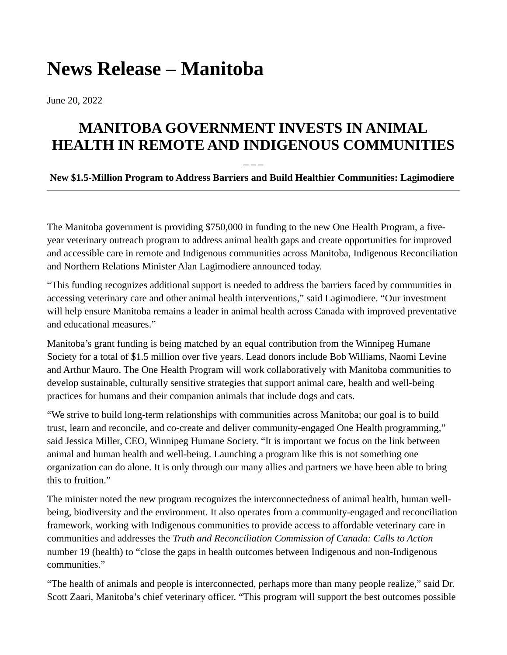## **News Release – Manitoba**

June 20, 2022

## **MANITOBA GOVERNMENT INVESTS IN ANIMAL HEALTH IN REMOTE AND INDIGENOUS COMMUNITIES**

## – – – **New \$1.5-Million Program to Address Barriers and Build Healthier Communities: Lagimodiere**

The Manitoba government is providing \$750,000 in funding to the new One Health Program, a fiveyear veterinary outreach program to address animal health gaps and create opportunities for improved and accessible care in remote and Indigenous communities across Manitoba, Indigenous Reconciliation and Northern Relations Minister Alan Lagimodiere announced today.

"This funding recognizes additional support is needed to address the barriers faced by communities in accessing veterinary care and other animal health interventions," said Lagimodiere. "Our investment will help ensure Manitoba remains a leader in animal health across Canada with improved preventative and educational measures."

Manitoba's grant funding is being matched by an equal contribution from the Winnipeg Humane Society for a total of \$1.5 million over five years. Lead donors include Bob Williams, Naomi Levine and Arthur Mauro. The One Health Program will work collaboratively with Manitoba communities to develop sustainable, culturally sensitive strategies that support animal care, health and well-being practices for humans and their companion animals that include dogs and cats.

"We strive to build long-term relationships with communities across Manitoba; our goal is to build trust, learn and reconcile, and co-create and deliver community-engaged One Health programming," said Jessica Miller, CEO, Winnipeg Humane Society. "It is important we focus on the link between animal and human health and well-being. Launching a program like this is not something one organization can do alone. It is only through our many allies and partners we have been able to bring this to fruition."

The minister noted the new program recognizes the interconnectedness of animal health, human wellbeing, biodiversity and the environment. It also operates from a community-engaged and reconciliation framework, working with Indigenous communities to provide access to affordable veterinary care in communities and addresses the *Truth and Reconciliation Commission of Canada: Calls to Action*  number 19 (health) to "close the gaps in health outcomes between Indigenous and non-Indigenous communities."

"The health of animals and people is interconnected, perhaps more than many people realize," said Dr. Scott Zaari, Manitoba's chief veterinary officer. "This program will support the best outcomes possible